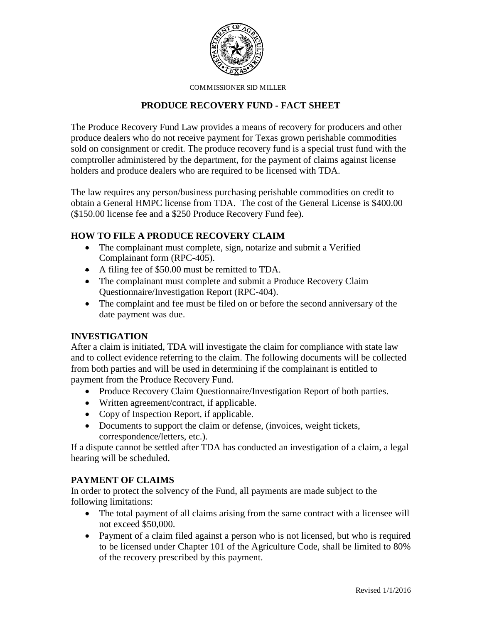

COMMISSIONER SID MILLER

## **PRODUCE RECOVERY FUND - FACT SHEET**

The Produce Recovery Fund Law provides a means of recovery for producers and other produce dealers who do not receive payment for Texas grown perishable commodities sold on consignment or credit. The produce recovery fund is a special trust fund with the comptroller administered by the department, for the payment of claims against license holders and produce dealers who are required to be licensed with TDA.

The law requires any person/business purchasing perishable commodities on credit to obtain a General HMPC license from TDA. The cost of the General License is \$400.00 (\$150.00 license fee and a \$250 Produce Recovery Fund fee).

# **HOW TO FILE A PRODUCE RECOVERY CLAIM**

- The complainant must complete, sign, notarize and submit a Verified Complainant form (RPC-405).
- A filing fee of \$50.00 must be remitted to TDA.
- The complainant must complete and submit a Produce Recovery Claim Questionnaire/Investigation Report (RPC-404).
- The complaint and fee must be filed on or before the second anniversary of the date payment was due.

### **INVESTIGATION**

After a claim is initiated, TDA will investigate the claim for compliance with state law and to collect evidence referring to the claim. The following documents will be collected from both parties and will be used in determining if the complainant is entitled to payment from the Produce Recovery Fund.

- Produce Recovery Claim Questionnaire/Investigation Report of both parties.
- Written agreement/contract, if applicable.
- Copy of Inspection Report, if applicable.
- Documents to support the claim or defense, (invoices, weight tickets, correspondence/letters, etc.).

If a dispute cannot be settled after TDA has conducted an investigation of a claim, a legal hearing will be scheduled.

### **PAYMENT OF CLAIMS**

In order to protect the solvency of the Fund, all payments are made subject to the following limitations:

- The total payment of all claims arising from the same contract with a licensee will not exceed \$50,000.
- Payment of a claim filed against a person who is not licensed, but who is required to be licensed under Chapter 101 of the Agriculture Code, shall be limited to 80% of the recovery prescribed by this payment.